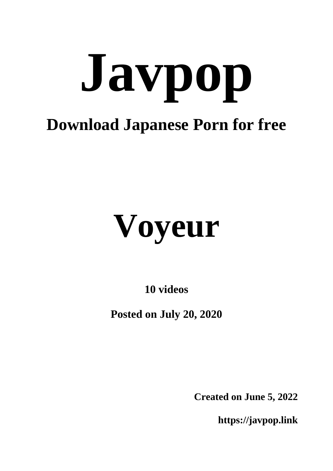



**10 videos**

**Posted on July 20, 2020**

**Created on June 5, 2022**

**<https://javpop.link>**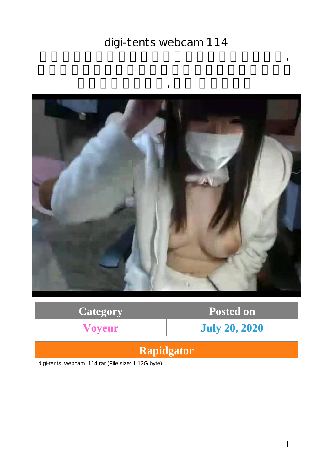#### [digi-tents webcam 114](https://javpop.link/digi-tents-webcam-11-1)

 $\mathcal{L}$ 



# **Category Posted on**

**[Voyeur](https://javpop.link/category/voyeur) [July 20, 2020](https://javpop.link/2020/07/20)**

#### **Rapidgator**

[digi-tents\\_webcam\\_114.rar](https://rapidgator.net/file/ecc3359050d33cb808a78d59eed9ec5d/digi-tents_webcam_114.rar.html) (File size: 1.13G byte)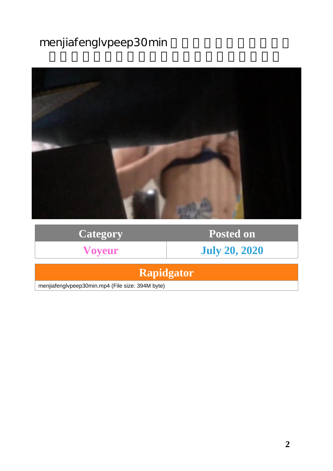#### menjiafenglvpeep30min



**[Voyeur](https://javpop.link/category/voyeur) [July 20, 2020](https://javpop.link/2020/07/20)**

#### **Rapidgator**

[menjiafenglvpeep30min.mp4](https://rapidgator.net/file/284ec72c3c884cd9f0eb1a871413f8c8/menjiafenglvpeep30min.mp4.html) (File size: 394M byte)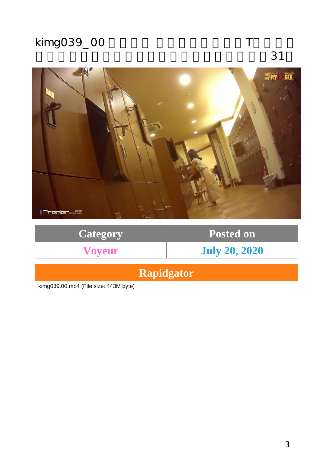# kimg039\_00 T 31



# **Category Posted on**

**[Voyeur](https://javpop.link/category/voyeur) [July 20, 2020](https://javpop.link/2020/07/20)**

**Rapidgator**

[kimg039.00.mp4](https://rapidgator.net/file/bacbb6b0bbfa6ba6ce8b329d904e37cf/kimg039.00.mp4.html) (File size: 443M byte)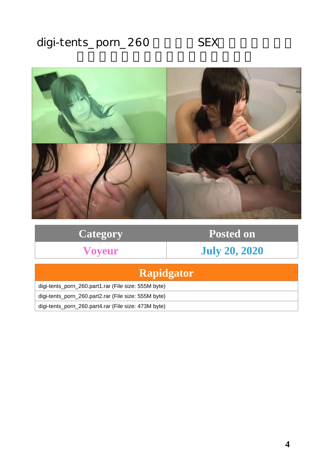### digi-tents\_porn\_260 SEX



# **Category Posted on**

**[Voyeur](https://javpop.link/category/voyeur) [July 20, 2020](https://javpop.link/2020/07/20)**

| <b>Rapidgator</b>                                    |
|------------------------------------------------------|
| digi-tents_porn_260.part1.rar (File size: 555M byte) |
| digi-tents_porn_260.part2.rar (File size: 555M byte) |
| digi-tents_porn_260.part4.rar (File size: 473M byte) |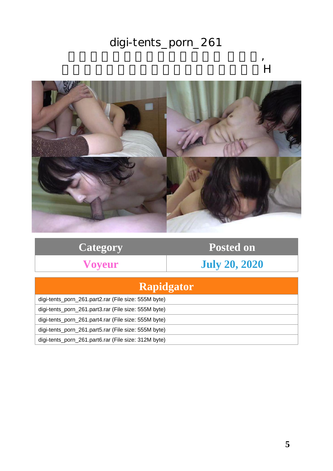# [digi-tents\\_porn\\_261](https://javpop.link/digi-tents_porn_261)

**Posted on** 



| Voyeur                                               | <b>July 20, 2020</b> |  |
|------------------------------------------------------|----------------------|--|
| Rapidgator                                           |                      |  |
| digi-tents_porn_261.part2.rar (File size: 555M byte) |                      |  |
| digi-tents_porn_261.part3.rar (File size: 555M byte) |                      |  |
| digi-tents_porn_261.part4.rar (File size: 555M byte) |                      |  |
| digi-tents_porn_261.part5.rar (File size: 555M byte) |                      |  |
| digi-tents_porn_261.part6.rar (File size: 312M byte) |                      |  |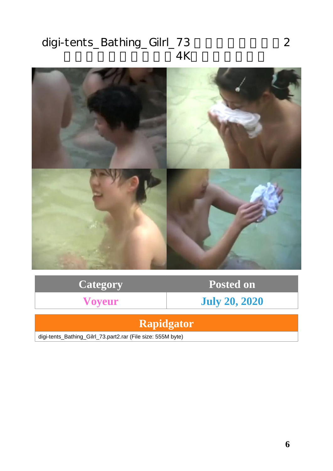#### digi-tents\_Bathing\_Gilrl\_73 2<br>4K  $4K$



# **Category Posted on**

**[Voyeur](https://javpop.link/category/voyeur) [July 20, 2020](https://javpop.link/2020/07/20)**

#### **Rapidgator**

[digi-tents\\_Bathing\\_Gilrl\\_73.part2.rar](https://rapidgator.net/file/c54ecf6834c6bb2e6825b6e4f1a80ee2/digi-tents_Bathing_Gilrl_73.part2.rar.html) (File size: 555M byte)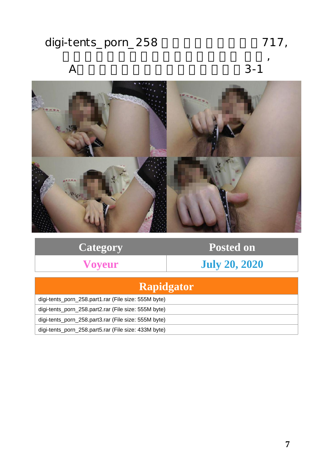# digi-tents\_porn\_258 717,



によって、その他にも、その他にも、その他にも、その他にも、その他には、その他には、その他には、その他には、その他には、その他には、その他には、その他には、その他に

**Category Posted on [Voyeur](https://javpop.link/category/voyeur) [July 20, 2020](https://javpop.link/2020/07/20)**

| Rapidgator                                           |
|------------------------------------------------------|
| digi-tents_porn_258.part1.rar (File size: 555M byte) |
| digi-tents_porn_258.part2.rar (File size: 555M byte) |
| digi-tents_porn_258.part3.rar (File size: 555M byte) |
| digi-tents_porn_258.part5.rar (File size: 433M byte) |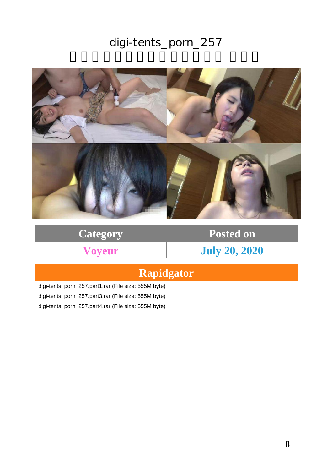### [digi-tents\\_porn\\_257](https://javpop.link/digi-tents_porn_257)



# **Category Posted on**

**[Voyeur](https://javpop.link/category/voyeur) [July 20, 2020](https://javpop.link/2020/07/20)**

#### **Rapidgator**

[digi-tents\\_porn\\_257.part1.rar](https://rapidgator.net/file/5caebf46ecc578e77f9b60c8fcac5cf0/digi-tents_porn_257.part1.rar.html) (File size: 555M byte) [digi-tents\\_porn\\_257.part3.rar](https://rapidgator.net/file/b398deca3e63805f771d6c08314b28cd/digi-tents_porn_257.part3.rar.html) (File size: 555M byte)

[digi-tents\\_porn\\_257.part4.rar](https://rapidgator.net/file/a7277ba821fb43c65423164683e55e3d/digi-tents_porn_257.part4.rar.html) (File size: 555M byte)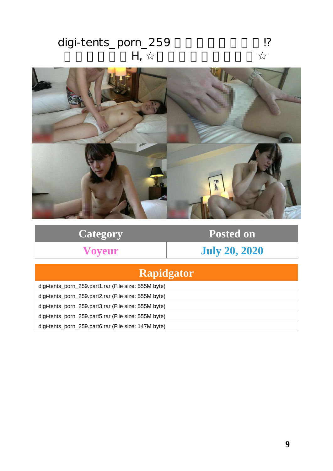### digi-tents\_porn\_259<br>H,  $H$ ,  $\qquad$  and  $\qquad$  and  $\qquad$  and  $\qquad$  and  $\qquad$  and  $\qquad$  and  $\qquad$  and  $\qquad$  and  $\qquad$  and  $\qquad$  and  $\qquad$  and  $\qquad$  and  $\qquad$  and  $\qquad$  and  $\qquad$  and  $\qquad$  and  $\qquad$  and  $\qquad$  and  $\qquad$  and  $\qquad$  and  $\qquad$  and  $\qquad$



**Category Posted on** 

**[Voyeur](https://javpop.link/category/voyeur) [July 20, 2020](https://javpop.link/2020/07/20)**

| Rapidgator                                           |
|------------------------------------------------------|
| digi-tents_porn_259.part1.rar (File size: 555M byte) |
| digi-tents_porn_259.part2.rar (File size: 555M byte) |
| digi-tents_porn_259.part3.rar (File size: 555M byte) |
| digi-tents_porn_259.part5.rar (File size: 555M byte) |
| digi-tents_porn_259.part6.rar (File size: 147M byte) |